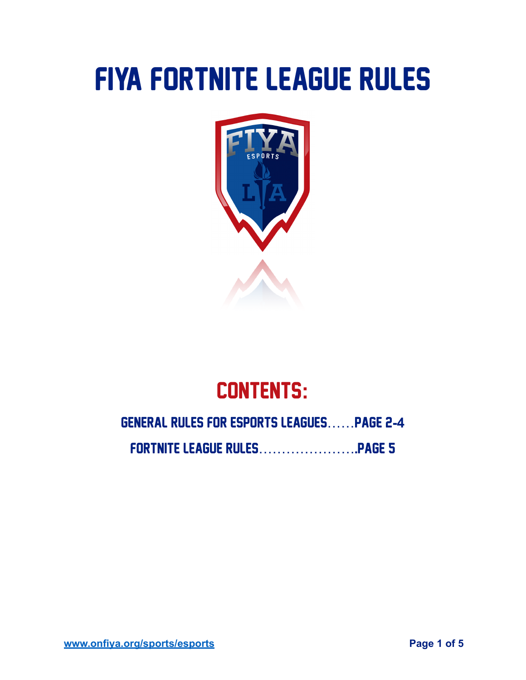## FIYA FORTNITE LEAGUE Rules



## CONTENTS**:**

## General Rules FOR ESPORTS LEAGUES……page 2**-4**

FORTNITE LEAGUE Rules………………….page 5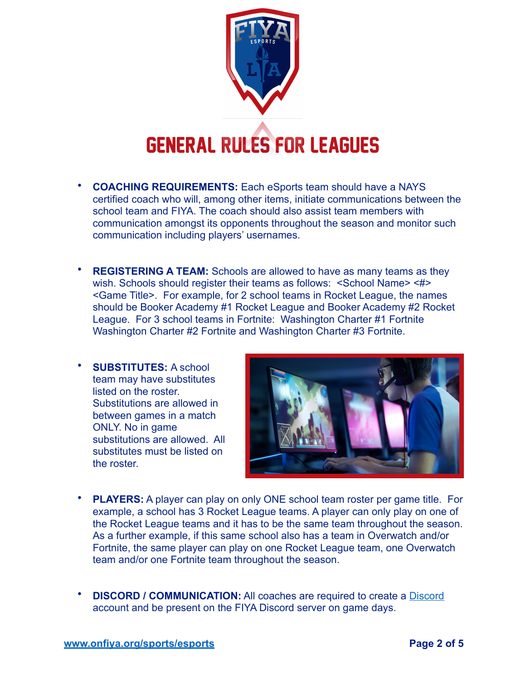

## General Rules FOR LEAGUES

- **COACHING REQUIREMENTS:** Each eSports team should have a NAYS certified coach who will, among other items, initiate communications between the school team and FIYA. The coach should also assist team members with communication amongst its opponents throughout the season and monitor such communication including players' usernames.
- **REGISTERING A TEAM:** Schools are allowed to have as many teams as they wish. Schools should register their teams as follows: <School Name> <#> <Game Title>. For example, for 2 school teams in Rocket League, the names should be Booker Academy #1 Rocket League and Booker Academy #2 Rocket League. For 3 school teams in Fortnite: Washington Charter #1 Fortnite Washington Charter #2 Fortnite and Washington Charter #3 Fortnite.
- **SUBSTITUTES:** A school team may have substitutes listed on the roster. Substitutions are allowed in between games in a match ONLY. No in game substitutions are allowed. All substitutes must be listed on the roster.



- **PLAYERS:** A player can play on only ONE school team roster per game title. For example, a school has 3 Rocket League teams. A player can only play on one of the Rocket League teams and it has to be the same team throughout the season. As a further example, if this same school also has a team in Overwatch and/or Fortnite, the same player can play on one Rocket League team, one Overwatch team and/or one Fortnite team throughout the season.
- **DISCORD / COMMUNICATION:** All coaches are required to create a [Discord](https://discord.com) account and be present on the FIYA Discord server on game days.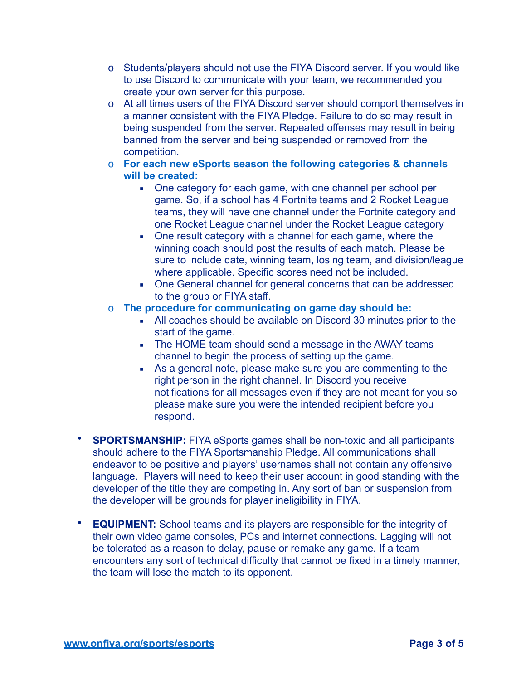- o Students/players should not use the FIYA Discord server. If you would like to use Discord to communicate with your team, we recommended you create your own server for this purpose.
- o At all times users of the FIYA Discord server should comport themselves in a manner consistent with the FIYA Pledge. Failure to do so may result in being suspended from the server. Repeated offenses may result in being banned from the server and being suspended or removed from the competition.
- o **For each new eSports season the following categories & channels will be created:**
	- One category for each game, with one channel per school per game. So, if a school has 4 Fortnite teams and 2 Rocket League teams, they will have one channel under the Fortnite category and one Rocket League channel under the Rocket League category
	- One result category with a channel for each game, where the winning coach should post the results of each match. Please be sure to include date, winning team, losing team, and division/league where applicable. Specific scores need not be included.
	- One General channel for general concerns that can be addressed to the group or FIYA staff.
- o **The procedure for communicating on game day should be:**
	- All coaches should be available on Discord 30 minutes prior to the start of the game.
	- The HOME team should send a message in the AWAY teams channel to begin the process of setting up the game.
	- As a general note, please make sure you are commenting to the right person in the right channel. In Discord you receive notifications for all messages even if they are not meant for you so please make sure you were the intended recipient before you respond.
- **SPORTSMANSHIP:** FIYA eSports games shall be non-toxic and all participants should adhere to the FIYA Sportsmanship Pledge. All communications shall endeavor to be positive and players' usernames shall not contain any offensive language. Players will need to keep their user account in good standing with the developer of the title they are competing in. Any sort of ban or suspension from the developer will be grounds for player ineligibility in FIYA.
- **EQUIPMENT:** School teams and its players are responsible for the integrity of their own video game consoles, PCs and internet connections. Lagging will not be tolerated as a reason to delay, pause or remake any game. If a team encounters any sort of technical difficulty that cannot be fixed in a timely manner, the team will lose the match to its opponent.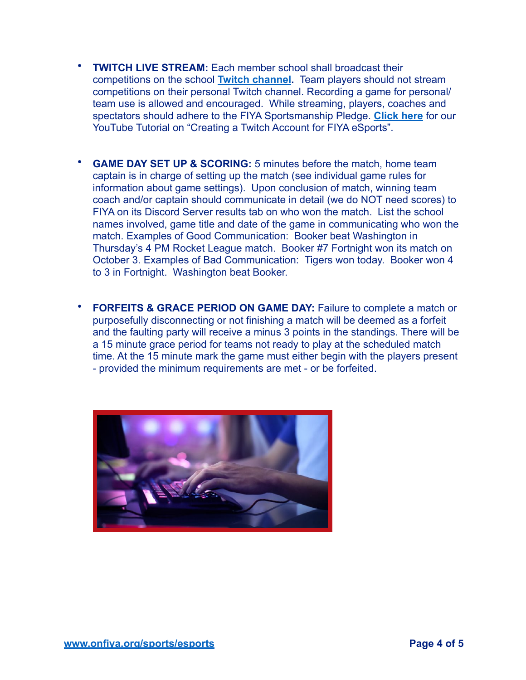- **TWITCH LIVE STREAM:** Each member school shall broadcast their competitions on the school **[Twitch channel](https://www.twitch.tv).** Team players should not stream competitions on their personal Twitch channel. Recording a game for personal/ team use is allowed and encouraged. While streaming, players, coaches and spectators should adhere to the FIYA Sportsmanship Pledge. **[Click here](https://www.youtube.com/watch?v=sgfIfdhi26o&list=PLelxb8IVvVpmDtqz8hXpj1Wgjf1upTJjY&index=39)** for our YouTube Tutorial on "Creating a Twitch Account for FIYA eSports".
- **GAME DAY SET UP & SCORING:** 5 minutes before the match, home team captain is in charge of setting up the match (see individual game rules for information about game settings). Upon conclusion of match, winning team coach and/or captain should communicate in detail (we do NOT need scores) to FIYA on its Discord Server results tab on who won the match. List the school names involved, game title and date of the game in communicating who won the match. Examples of Good Communication: Booker beat Washington in Thursday's 4 PM Rocket League match. Booker #7 Fortnight won its match on October 3. Examples of Bad Communication: Tigers won today. Booker won 4 to 3 in Fortnight. Washington beat Booker.
- **FORFEITS & GRACE PERIOD ON GAME DAY:** Failure to complete a match or purposefully disconnecting or not finishing a match will be deemed as a forfeit and the faulting party will receive a minus 3 points in the standings. There will be a 15 minute grace period for teams not ready to play at the scheduled match time. At the 15 minute mark the game must either begin with the players present - provided the minimum requirements are met - or be forfeited.